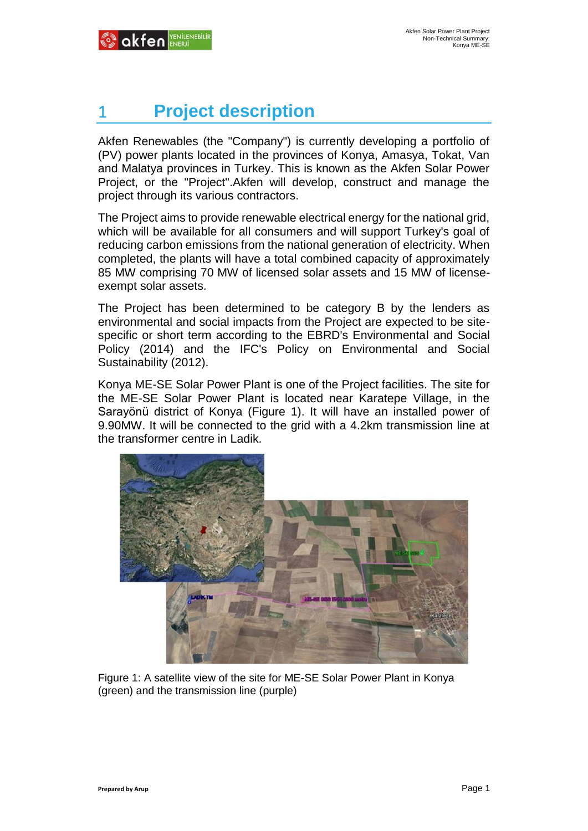# 1 **Project description**

Akfen Renewables (the "Company") is currently developing a portfolio of (PV) power plants located in the provinces of Konya, Amasya, Tokat, Van and Malatya provinces in Turkey. This is known as the Akfen Solar Power Project, or the "Project".Akfen will develop, construct and manage the project through its various contractors.

The Project aims to provide renewable electrical energy for the national grid, which will be available for all consumers and will support Turkey's goal of reducing carbon emissions from the national generation of electricity. When completed, the plants will have a total combined capacity of approximately 85 MW comprising 70 MW of licensed solar assets and 15 MW of licenseexempt solar assets.

The Project has been determined to be category B by the lenders as environmental and social impacts from the Project are expected to be sitespecific or short term according to the EBRD's Environmental and Social Policy (2014) and the IFC's Policy on Environmental and Social Sustainability (2012).

Konya ME-SE Solar Power Plant is one of the Project facilities. The site for the ME-SE Solar Power Plant is located near Karatepe Village, in the Sarayönü district of Konya (Figure 1). It will have an installed power of 9.90MW. It will be connected to the grid with a 4.2km transmission line at the transformer centre in Ladik.



Figure 1: A satellite view of the site for ME-SE Solar Power Plant in Konya (green) and the transmission line (purple)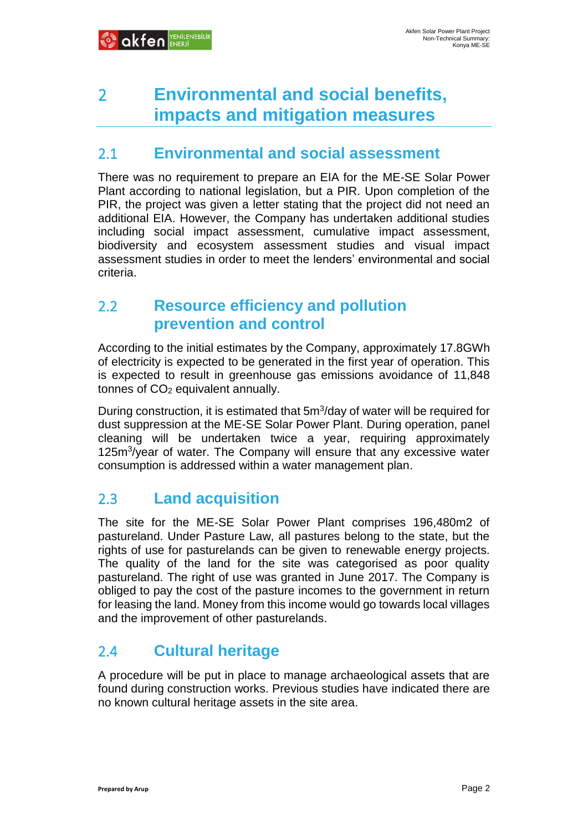# 2 **Environmental and social benefits, impacts and mitigation measures**

#### 2.1 **Environmental and social assessment**

There was no requirement to prepare an EIA for the ME-SE Solar Power Plant according to national legislation, but a PIR. Upon completion of the PIR, the project was given a letter stating that the project did not need an additional EIA. However, the Company has undertaken additional studies including social impact assessment, cumulative impact assessment, biodiversity and ecosystem assessment studies and visual impact assessment studies in order to meet the lenders' environmental and social criteria.

#### 2.2 **Resource efficiency and pollution prevention and control**

According to the initial estimates by the Company, approximately 17.8GWh of electricity is expected to be generated in the first year of operation. This is expected to result in greenhouse gas emissions avoidance of 11,848 tonnes of  $CO<sub>2</sub>$  equivalent annually.

During construction, it is estimated that 5m<sup>3</sup>/day of water will be required for dust suppression at the ME-SE Solar Power Plant. During operation, panel cleaning will be undertaken twice a year, requiring approximately 125m<sup>3</sup>/year of water. The Company will ensure that any excessive water consumption is addressed within a water management plan.

### 2.3 **Land acquisition**

The site for the ME-SE Solar Power Plant comprises 196,480m2 of pastureland. Under Pasture Law, all pastures belong to the state, but the rights of use for pasturelands can be given to renewable energy projects. The quality of the land for the site was categorised as poor quality pastureland. The right of use was granted in June 2017. The Company is obliged to pay the cost of the pasture incomes to the government in return for leasing the land. Money from this income would go towards local villages and the improvement of other pasturelands.

### 2.4 **Cultural heritage**

A procedure will be put in place to manage archaeological assets that are found during construction works. Previous studies have indicated there are no known cultural heritage assets in the site area.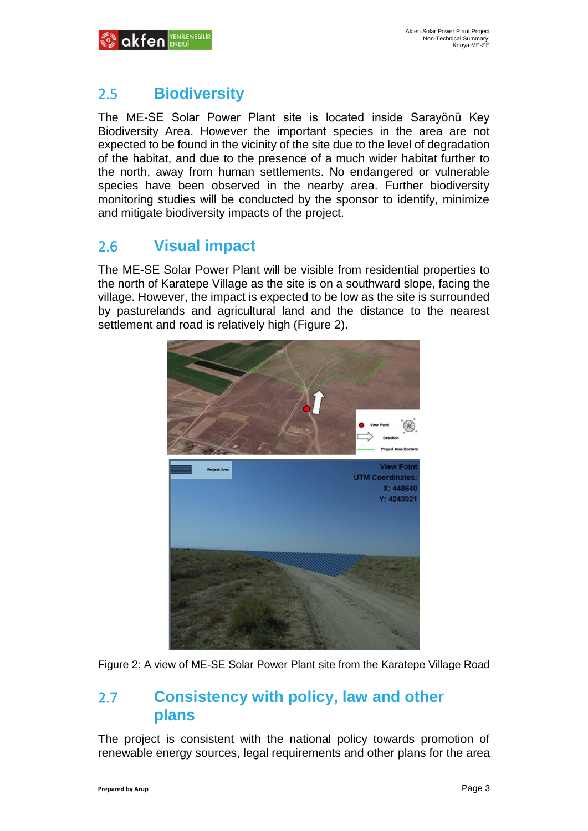

# 2.5 **Biodiversity**

The ME-SE Solar Power Plant site is located inside Sarayönü Key Biodiversity Area. However the important species in the area are not expected to be found in the vicinity of the site due to the level of degradation of the habitat, and due to the presence of a much wider habitat further to the north, away from human settlements. No endangered or vulnerable species have been observed in the nearby area. Further biodiversity monitoring studies will be conducted by the sponsor to identify, minimize and mitigate biodiversity impacts of the project.

# 2.6 **Visual impact**

The ME-SE Solar Power Plant will be visible from residential properties to the north of Karatepe Village as the site is on a southward slope, facing the village. However, the impact is expected to be low as the site is surrounded by pasturelands and agricultural land and the distance to the nearest settlement and road is relatively high (Figure 2).



Figure 2: A view of ME-SE Solar Power Plant site from the Karatepe Village Road

#### 2.7 **Consistency with policy, law and other plans**

The project is consistent with the national policy towards promotion of renewable energy sources, legal requirements and other plans for the area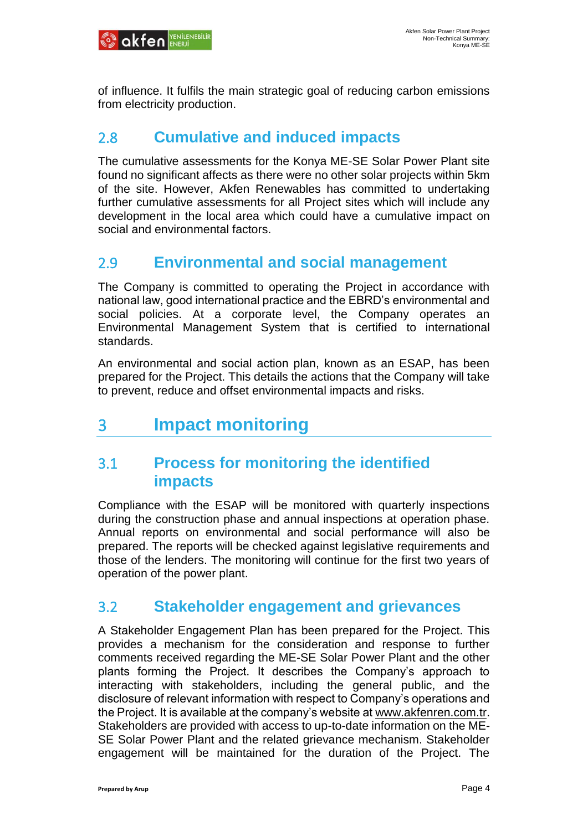

of influence. It fulfils the main strategic goal of reducing carbon emissions from electricity production.

#### 2.8 **Cumulative and induced impacts**

The cumulative assessments for the Konya ME-SE Solar Power Plant site found no significant affects as there were no other solar projects within 5km of the site. However, Akfen Renewables has committed to undertaking further cumulative assessments for all Project sites which will include any development in the local area which could have a cumulative impact on social and environmental factors.

#### 2.9 **Environmental and social management**

The Company is committed to operating the Project in accordance with national law, good international practice and the EBRD's environmental and social policies. At a corporate level, the Company operates an Environmental Management System that is certified to international standards.

An environmental and social action plan, known as an ESAP, has been prepared for the Project. This details the actions that the Company will take to prevent, reduce and offset environmental impacts and risks.

# 3 **Impact monitoring**

#### 3.1 **Process for monitoring the identified impacts**

Compliance with the ESAP will be monitored with quarterly inspections during the construction phase and annual inspections at operation phase. Annual reports on environmental and social performance will also be prepared. The reports will be checked against legislative requirements and those of the lenders. The monitoring will continue for the first two years of operation of the power plant.

#### 3.2 **Stakeholder engagement and grievances**

A Stakeholder Engagement Plan has been prepared for the Project. This provides a mechanism for the consideration and response to further comments received regarding the ME-SE Solar Power Plant and the other plants forming the Project. It describes the Company's approach to interacting with stakeholders, including the general public, and the disclosure of relevant information with respect to Company's operations and the Project. It is available at the company's website at [www.akfenren.com.tr.](http://www.akfenren.com.tr/) Stakeholders are provided with access to up-to-date information on the ME-SE Solar Power Plant and the related grievance mechanism. Stakeholder engagement will be maintained for the duration of the Project. The